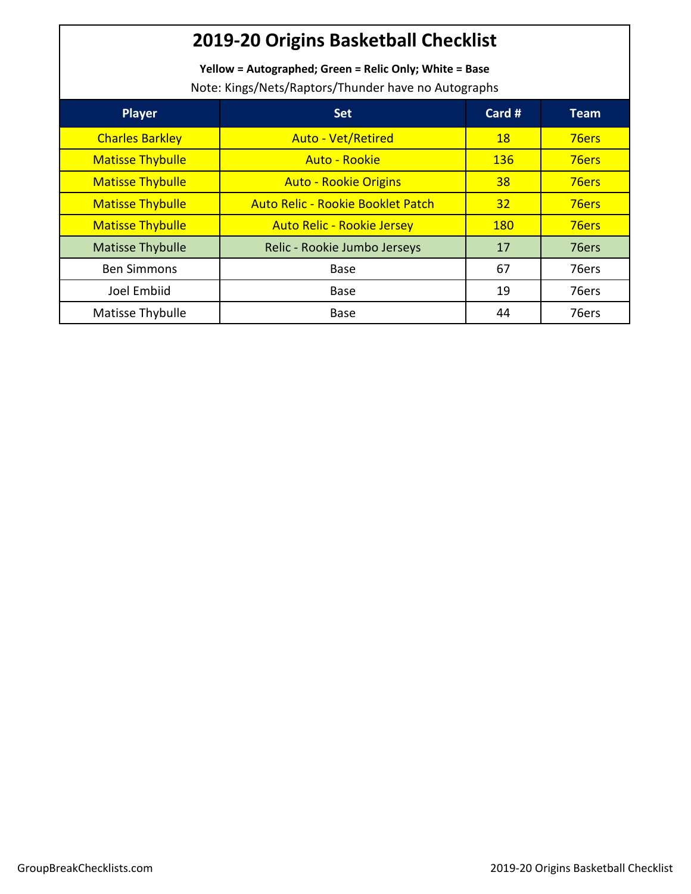## **2019-20 Origins Basketball Checklist**

**Yellow = Autographed; Green = Relic Only; White = Base** Note: Kings/Nets/Raptors/Thunder have no Autographs

| <b>Player</b>           | <b>Set</b>                               | Card #          | <b>Team</b> |
|-------------------------|------------------------------------------|-----------------|-------------|
| <b>Charles Barkley</b>  | <b>Auto - Vet/Retired</b>                | <b>18</b>       | 76ers       |
| <b>Matisse Thybulle</b> | <b>Auto - Rookie</b>                     | <b>136</b>      | 76ers       |
| <b>Matisse Thybulle</b> | <b>Auto - Rookie Origins</b>             | 38              | 76ers       |
| <b>Matisse Thybulle</b> | <b>Auto Relic - Rookie Booklet Patch</b> | 32 <sub>2</sub> | 76ers       |
| <b>Matisse Thybulle</b> | <b>Auto Relic - Rookie Jersey</b>        | <b>180</b>      | 76ers       |
| <b>Matisse Thybulle</b> | Relic - Rookie Jumbo Jerseys             | 17              | 76ers       |
| <b>Ben Simmons</b>      | <b>Base</b>                              | 67              | 76ers       |
| Joel Embiid             | <b>Base</b>                              | 19              | 76ers       |
| Matisse Thybulle        | <b>Base</b>                              | 44              | 76ers       |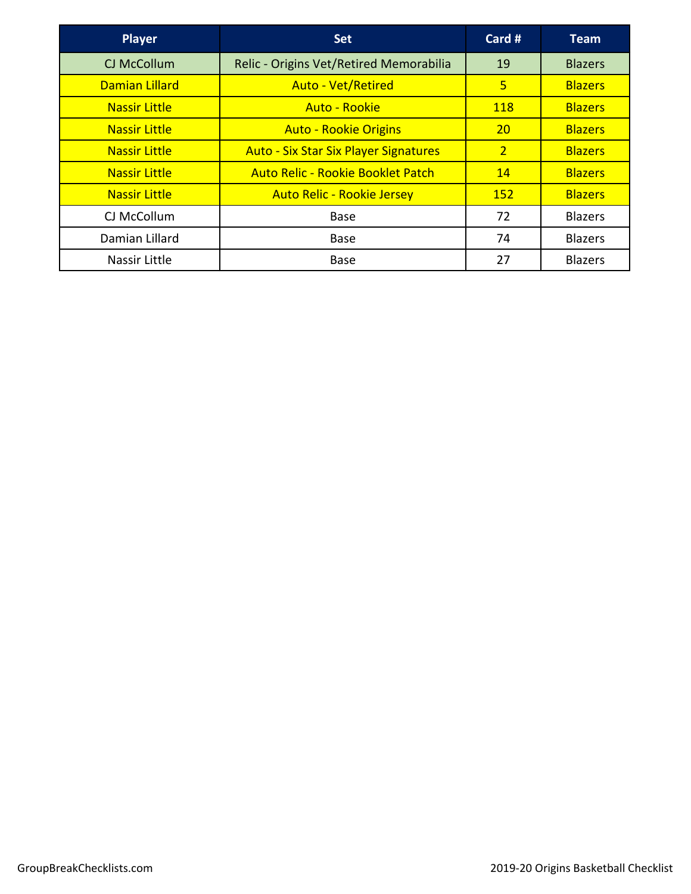| <b>Player</b>         | <b>Set</b>                                   | Card #         | <b>Team</b>    |
|-----------------------|----------------------------------------------|----------------|----------------|
| CJ McCollum           | Relic - Origins Vet/Retired Memorabilia      | 19             | <b>Blazers</b> |
| <b>Damian Lillard</b> | <b>Auto - Vet/Retired</b>                    | 5              | <b>Blazers</b> |
| <b>Nassir Little</b>  | <b>Auto - Rookie</b>                         | <b>118</b>     | <b>Blazers</b> |
| <b>Nassir Little</b>  | <b>Auto - Rookie Origins</b>                 | <b>20</b>      | <b>Blazers</b> |
| <b>Nassir Little</b>  | <b>Auto - Six Star Six Player Signatures</b> | $\overline{2}$ | <b>Blazers</b> |
| <b>Nassir Little</b>  | <b>Auto Relic - Rookie Booklet Patch</b>     | 14             | <b>Blazers</b> |
| <b>Nassir Little</b>  | <b>Auto Relic - Rookie Jersey</b>            | <b>152</b>     | <b>Blazers</b> |
| CJ McCollum           | <b>Base</b>                                  | 72             | <b>Blazers</b> |
| Damian Lillard        | <b>Base</b>                                  | 74             | <b>Blazers</b> |
| Nassir Little         | Base                                         | 27             | <b>Blazers</b> |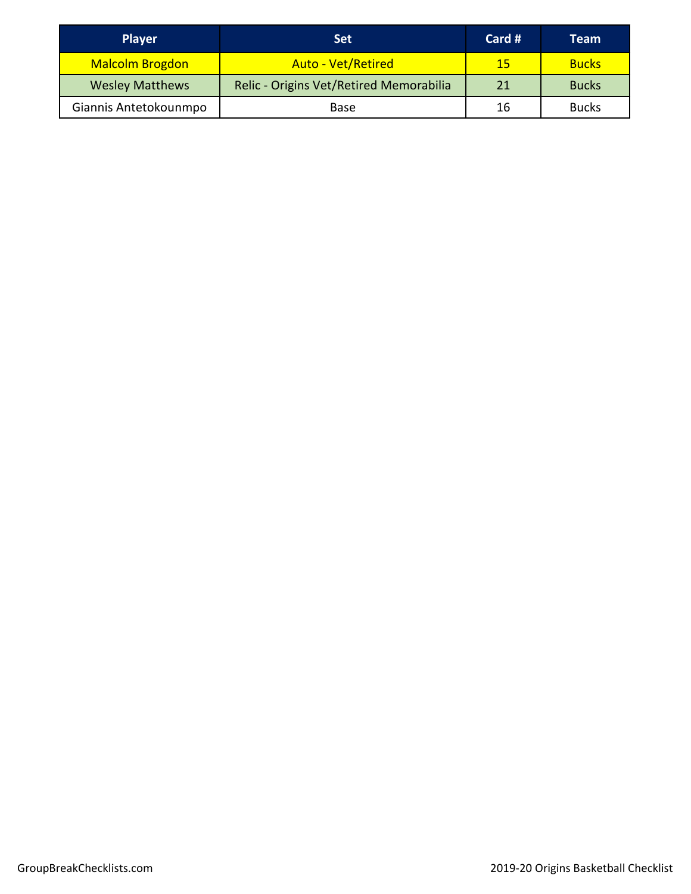| <b>Player</b>          | <b>Set</b>                              | Card # | <b>Team</b>  |
|------------------------|-----------------------------------------|--------|--------------|
| <b>Malcolm Brogdon</b> | <b>Auto - Vet/Retired</b>               | 15     | <b>Bucks</b> |
| <b>Wesley Matthews</b> | Relic - Origins Vet/Retired Memorabilia | 21     | <b>Bucks</b> |
| Giannis Antetokounmpo  | Base                                    | 16     | <b>Bucks</b> |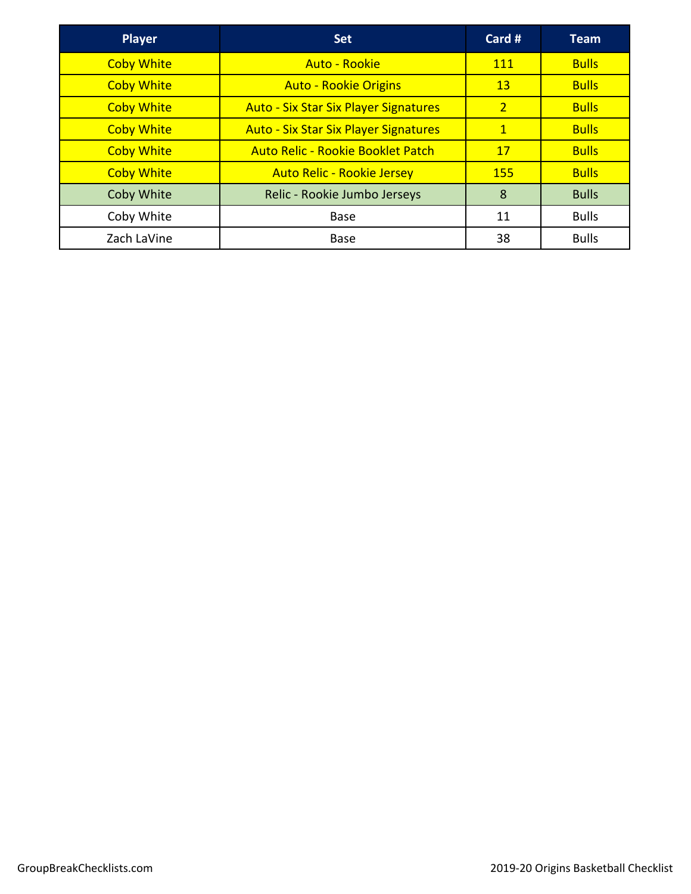| <b>Player</b>     | <b>Set</b>                                   | Card #         | <b>Team</b>  |
|-------------------|----------------------------------------------|----------------|--------------|
| <b>Coby White</b> | <b>Auto - Rookie</b>                         | <b>111</b>     | <b>Bulls</b> |
| <b>Coby White</b> | <b>Auto - Rookie Origins</b>                 | 13             | <b>Bulls</b> |
| <b>Coby White</b> | <b>Auto - Six Star Six Player Signatures</b> | $\overline{2}$ | <b>Bulls</b> |
| <b>Coby White</b> | <b>Auto - Six Star Six Player Signatures</b> | $\mathbf{1}$   | <b>Bulls</b> |
| <b>Coby White</b> | <b>Auto Relic - Rookie Booklet Patch</b>     | 17             | <b>Bulls</b> |
| <b>Coby White</b> | <b>Auto Relic - Rookie Jersey</b>            | <b>155</b>     | <b>Bulls</b> |
| Coby White        | Relic - Rookie Jumbo Jerseys                 | 8              | <b>Bulls</b> |
| Coby White        | <b>Base</b>                                  | 11             | <b>Bulls</b> |
| Zach LaVine       | <b>Base</b>                                  | 38             | <b>Bulls</b> |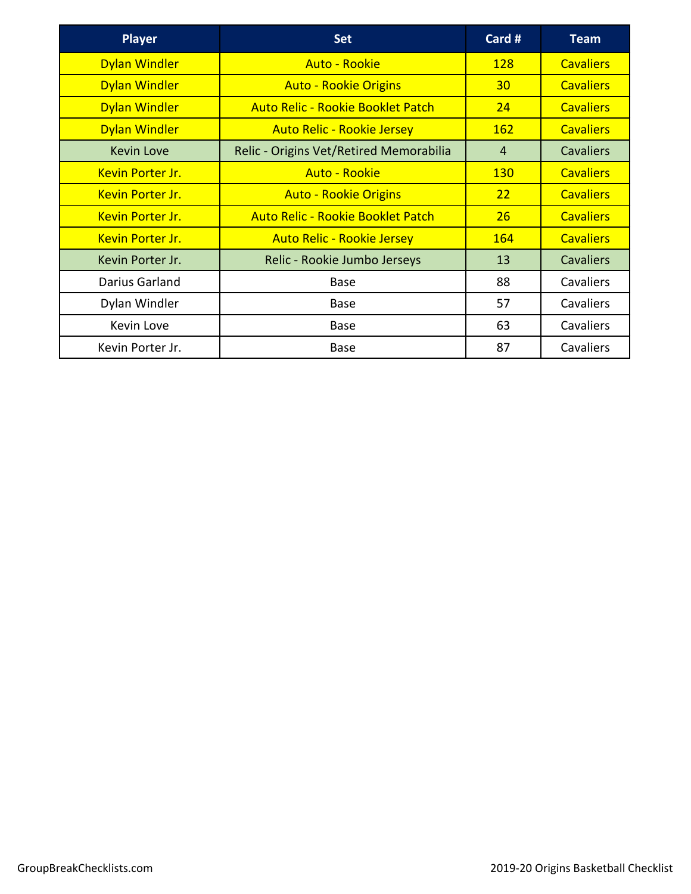| <b>Player</b>        | <b>Set</b>                               | Card #         | <b>Team</b>      |
|----------------------|------------------------------------------|----------------|------------------|
| <b>Dylan Windler</b> | <b>Auto - Rookie</b>                     | <b>128</b>     | <b>Cavaliers</b> |
| <b>Dylan Windler</b> | <b>Auto - Rookie Origins</b>             | 30             | <b>Cavaliers</b> |
| <b>Dylan Windler</b> | <b>Auto Relic - Rookie Booklet Patch</b> | 24             | <b>Cavaliers</b> |
| <b>Dylan Windler</b> | <b>Auto Relic - Rookie Jersey</b>        | <b>162</b>     | <b>Cavaliers</b> |
| <b>Kevin Love</b>    | Relic - Origins Vet/Retired Memorabilia  | $\overline{4}$ | <b>Cavaliers</b> |
| Kevin Porter Jr.     | <b>Auto - Rookie</b>                     | <b>130</b>     | <b>Cavaliers</b> |
| Kevin Porter Jr.     | <b>Auto - Rookie Origins</b>             | <u>22</u>      | <b>Cavaliers</b> |
| Kevin Porter Jr.     | <b>Auto Relic - Rookie Booklet Patch</b> | 26             | <b>Cavaliers</b> |
| Kevin Porter Jr.     | <b>Auto Relic - Rookie Jersey</b>        | <b>164</b>     | <b>Cavaliers</b> |
| Kevin Porter Jr.     | Relic - Rookie Jumbo Jerseys             | 13             | <b>Cavaliers</b> |
| Darius Garland       | <b>Base</b>                              | 88             | Cavaliers        |
| Dylan Windler        | <b>Base</b>                              | 57             | Cavaliers        |
| Kevin Love           | <b>Base</b>                              | 63             | Cavaliers        |
| Kevin Porter Jr.     | <b>Base</b>                              | 87             | Cavaliers        |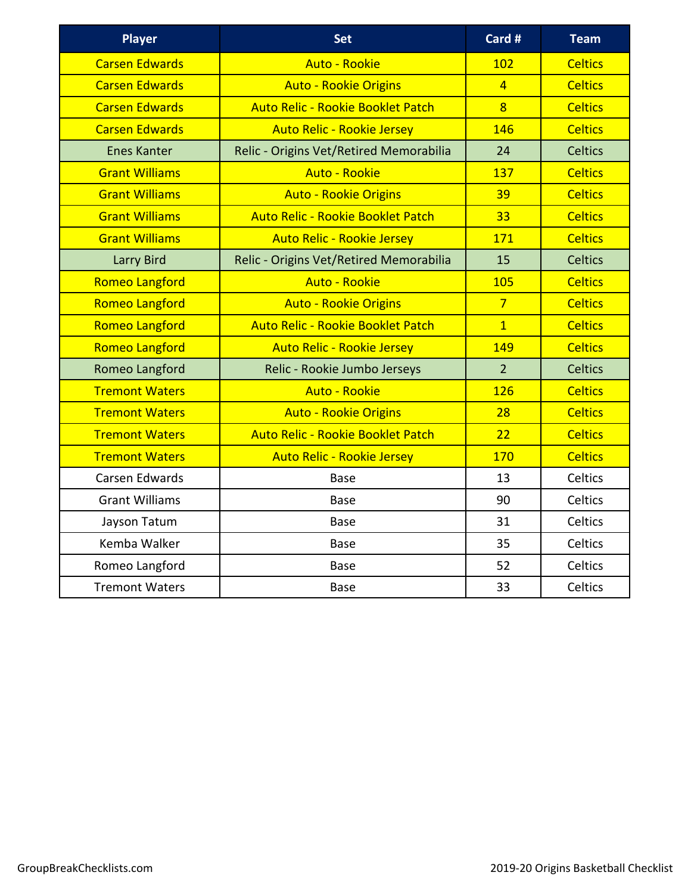| <b>Player</b>         | <b>Set</b>                               | Card #         | <b>Team</b>    |
|-----------------------|------------------------------------------|----------------|----------------|
| <b>Carsen Edwards</b> | <b>Auto - Rookie</b>                     | 102            | <b>Celtics</b> |
| <b>Carsen Edwards</b> | <b>Auto - Rookie Origins</b>             | $\overline{4}$ | <b>Celtics</b> |
| <b>Carsen Edwards</b> | <b>Auto Relic - Rookie Booklet Patch</b> | $\overline{8}$ | <b>Celtics</b> |
| <b>Carsen Edwards</b> | <b>Auto Relic - Rookie Jersey</b>        | 146            | <b>Celtics</b> |
| <b>Enes Kanter</b>    | Relic - Origins Vet/Retired Memorabilia  | 24             | <b>Celtics</b> |
| <b>Grant Williams</b> | <b>Auto - Rookie</b>                     | 137            | <b>Celtics</b> |
| <b>Grant Williams</b> | <b>Auto - Rookie Origins</b>             | 39             | <b>Celtics</b> |
| <b>Grant Williams</b> | <b>Auto Relic - Rookie Booklet Patch</b> | 33             | <b>Celtics</b> |
| <b>Grant Williams</b> | <b>Auto Relic - Rookie Jersey</b>        | 171            | <b>Celtics</b> |
| <b>Larry Bird</b>     | Relic - Origins Vet/Retired Memorabilia  | 15             | Celtics        |
| <b>Romeo Langford</b> | <b>Auto - Rookie</b>                     | 105            | <b>Celtics</b> |
| <b>Romeo Langford</b> | <b>Auto - Rookie Origins</b>             | $\overline{7}$ | <b>Celtics</b> |
| <b>Romeo Langford</b> | <b>Auto Relic - Rookie Booklet Patch</b> | $\overline{1}$ | <b>Celtics</b> |
| <b>Romeo Langford</b> | <b>Auto Relic - Rookie Jersey</b>        | 149            | <b>Celtics</b> |
| Romeo Langford        | Relic - Rookie Jumbo Jerseys             | $\mathcal{P}$  | <b>Celtics</b> |
| <b>Tremont Waters</b> | <b>Auto - Rookie</b>                     | <b>126</b>     | <b>Celtics</b> |
| <b>Tremont Waters</b> | <b>Auto - Rookie Origins</b>             | 28             | <b>Celtics</b> |
| <b>Tremont Waters</b> | <b>Auto Relic - Rookie Booklet Patch</b> | 22             | <b>Celtics</b> |
| <b>Tremont Waters</b> | <b>Auto Relic - Rookie Jersey</b>        | 170            | <b>Celtics</b> |
| Carsen Edwards        | Base                                     | 13             | Celtics        |
| <b>Grant Williams</b> | <b>Base</b>                              | 90             | Celtics        |
| Jayson Tatum          | <b>Base</b>                              | 31             | Celtics        |
| Kemba Walker          | <b>Base</b>                              | 35             | Celtics        |
| Romeo Langford        | <b>Base</b>                              | 52             | Celtics        |
| <b>Tremont Waters</b> | <b>Base</b>                              | 33             | Celtics        |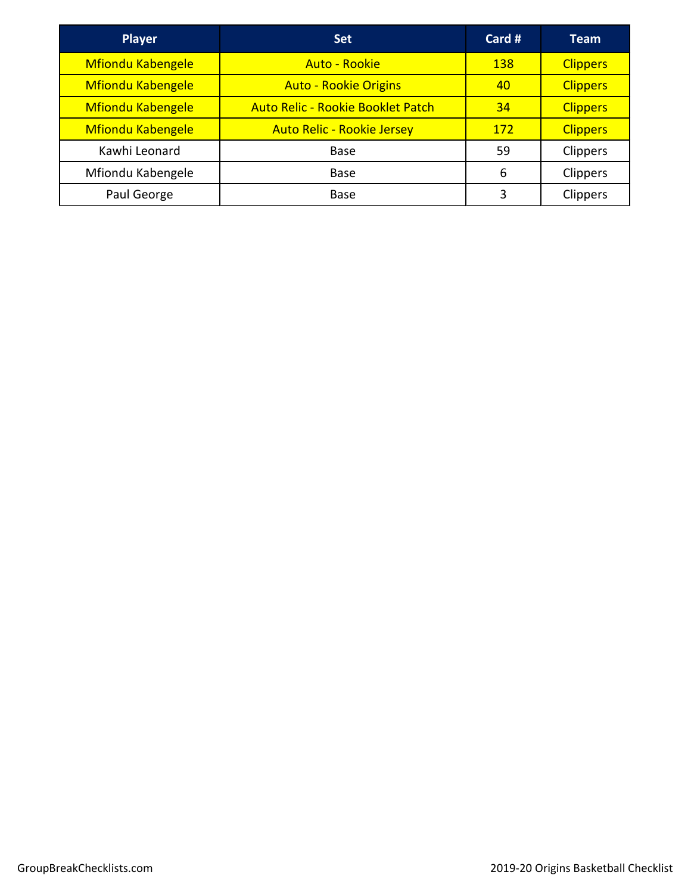| <b>Player</b>            | <b>Set</b>                               | Card $#$   | <b>Team</b>     |
|--------------------------|------------------------------------------|------------|-----------------|
| <b>Mfiondu Kabengele</b> | <b>Auto - Rookie</b>                     | <b>138</b> | <b>Clippers</b> |
| <b>Mfiondu Kabengele</b> | <b>Auto - Rookie Origins</b>             | 40         | <b>Clippers</b> |
| <b>Mfiondu Kabengele</b> | <b>Auto Relic - Rookie Booklet Patch</b> | 34         | <b>Clippers</b> |
| <b>Mfiondu Kabengele</b> | <b>Auto Relic - Rookie Jersey</b>        | <b>172</b> | <b>Clippers</b> |
| Kawhi Leonard            | <b>Base</b>                              | 59         | Clippers        |
| Mfiondu Kabengele        | Base                                     | 6          | <b>Clippers</b> |
| Paul George              | Base                                     | 3          | Clippers        |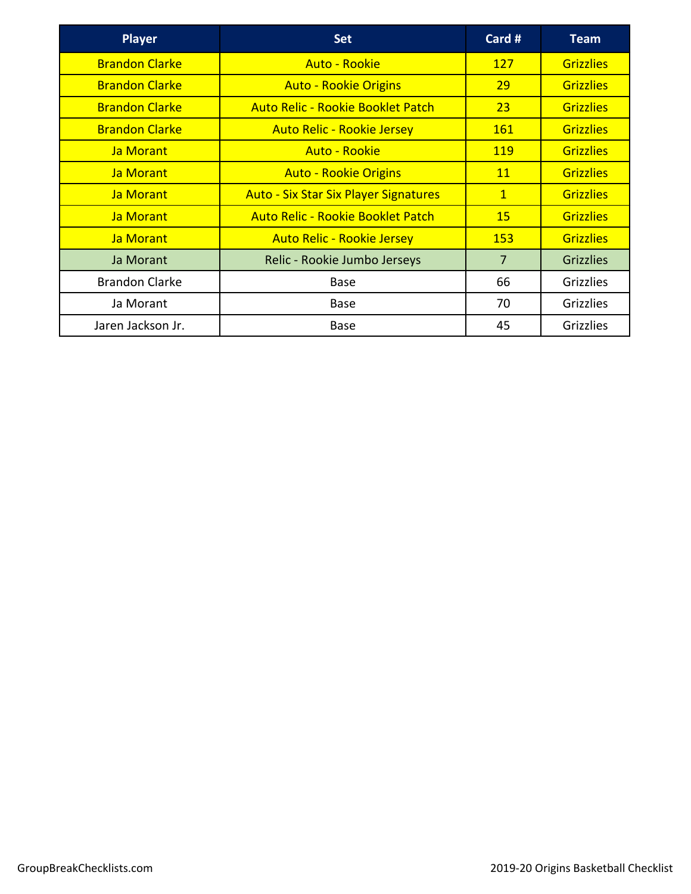| <b>Player</b>         | <b>Set</b>                                   | Card #         | <b>Team</b>      |
|-----------------------|----------------------------------------------|----------------|------------------|
| <b>Brandon Clarke</b> | Auto - Rookie                                | <b>127</b>     | <b>Grizzlies</b> |
| <b>Brandon Clarke</b> | <b>Auto - Rookie Origins</b>                 | 29             | <b>Grizzlies</b> |
| <b>Brandon Clarke</b> | Auto Relic - Rookie Booklet Patch            | 23             | <b>Grizzlies</b> |
| <b>Brandon Clarke</b> | <b>Auto Relic - Rookie Jersey</b>            | 161            | <b>Grizzlies</b> |
| Ja Morant             | <b>Auto - Rookie</b>                         | <b>119</b>     | <b>Grizzlies</b> |
| Ja Morant             | <b>Auto - Rookie Origins</b>                 | <u>11</u>      | <b>Grizzlies</b> |
| Ja Morant             | <b>Auto - Six Star Six Player Signatures</b> | $\mathbf{1}$   | <b>Grizzlies</b> |
| Ja Morant             | <b>Auto Relic - Rookie Booklet Patch</b>     | <b>15</b>      | <b>Grizzlies</b> |
| Ja Morant             | <b>Auto Relic - Rookie Jersey</b>            | <b>153</b>     | <b>Grizzlies</b> |
| Ja Morant             | Relic - Rookie Jumbo Jerseys                 | $\overline{7}$ | <b>Grizzlies</b> |
| <b>Brandon Clarke</b> | <b>Base</b>                                  | 66             | Grizzlies        |
| Ja Morant             | <b>Base</b>                                  | 70             | Grizzlies        |
| Jaren Jackson Jr.     | <b>Base</b>                                  | 45             | Grizzlies        |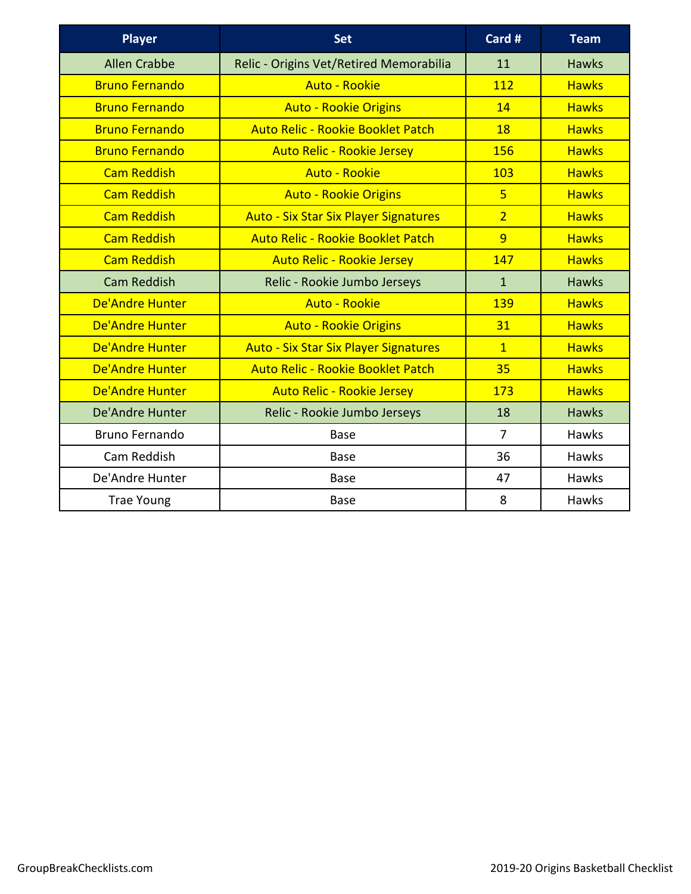| <b>Player</b>          | <b>Set</b>                                   | Card #         | <b>Team</b>  |
|------------------------|----------------------------------------------|----------------|--------------|
| <b>Allen Crabbe</b>    | Relic - Origins Vet/Retired Memorabilia      | 11             | <b>Hawks</b> |
| <b>Bruno Fernando</b>  | <b>Auto - Rookie</b>                         | 112            | <b>Hawks</b> |
| <b>Bruno Fernando</b>  | <b>Auto - Rookie Origins</b>                 | 14             | <b>Hawks</b> |
| <b>Bruno Fernando</b>  | <b>Auto Relic - Rookie Booklet Patch</b>     | 18             | <b>Hawks</b> |
| <b>Bruno Fernando</b>  | <b>Auto Relic - Rookie Jersey</b>            | 156            | <b>Hawks</b> |
| <b>Cam Reddish</b>     | <b>Auto - Rookie</b>                         | 103            | <b>Hawks</b> |
| <b>Cam Reddish</b>     | <b>Auto - Rookie Origins</b>                 | 5 <sup>1</sup> | <b>Hawks</b> |
| <b>Cam Reddish</b>     | <b>Auto - Six Star Six Player Signatures</b> | $\overline{2}$ | <b>Hawks</b> |
| <b>Cam Reddish</b>     | <b>Auto Relic - Rookie Booklet Patch</b>     | $\overline{9}$ | <b>Hawks</b> |
| <b>Cam Reddish</b>     | <b>Auto Relic - Rookie Jersey</b>            | 147            | <b>Hawks</b> |
| <b>Cam Reddish</b>     | Relic - Rookie Jumbo Jerseys                 | $\mathbf{1}$   | <b>Hawks</b> |
| De'Andre Hunter        | <b>Auto - Rookie</b>                         | 139            | <b>Hawks</b> |
| De'Andre Hunter        | <b>Auto - Rookie Origins</b>                 | 31             | <b>Hawks</b> |
| <b>De'Andre Hunter</b> | <b>Auto - Six Star Six Player Signatures</b> | $\overline{1}$ | <b>Hawks</b> |
| <b>De'Andre Hunter</b> | <b>Auto Relic - Rookie Booklet Patch</b>     | 35             | <b>Hawks</b> |
| <b>De'Andre Hunter</b> | <b>Auto Relic - Rookie Jersey</b>            | 173            | <b>Hawks</b> |
| De'Andre Hunter        | Relic - Rookie Jumbo Jerseys                 | 18             | <b>Hawks</b> |
| <b>Bruno Fernando</b>  | <b>Base</b>                                  | $\overline{7}$ | Hawks        |
| Cam Reddish            | Base                                         | 36             | Hawks        |
| De'Andre Hunter        | <b>Base</b>                                  | 47             | Hawks        |
| <b>Trae Young</b>      | <b>Base</b>                                  | 8              | Hawks        |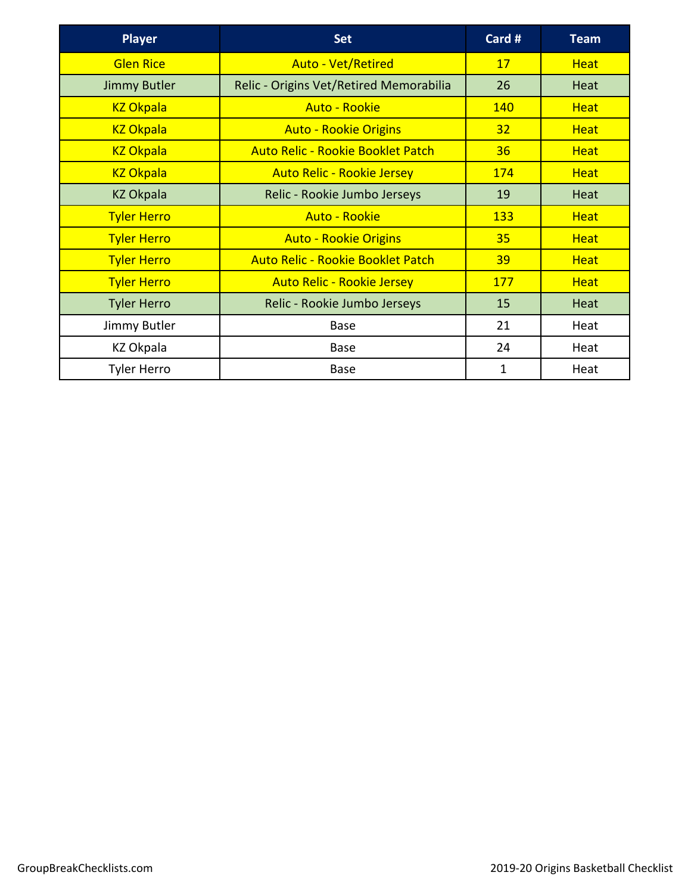| <b>Player</b>       | <b>Set</b>                               | Card #     | <b>Team</b> |
|---------------------|------------------------------------------|------------|-------------|
| <b>Glen Rice</b>    | <b>Auto - Vet/Retired</b>                | 17         | <b>Heat</b> |
| <b>Jimmy Butler</b> | Relic - Origins Vet/Retired Memorabilia  | 26         | Heat        |
| <b>KZ Okpala</b>    | Auto - Rookie                            | 140        | <b>Heat</b> |
| <b>KZ Okpala</b>    | <b>Auto - Rookie Origins</b>             | 32         | <b>Heat</b> |
| <b>KZ Okpala</b>    | Auto Relic - Rookie Booklet Patch        | 36         | <b>Heat</b> |
| <b>KZ Okpala</b>    | <b>Auto Relic - Rookie Jersey</b>        | 174        | <b>Heat</b> |
| <b>KZ Okpala</b>    | Relic - Rookie Jumbo Jerseys             | 19         | Heat        |
| <b>Tyler Herro</b>  | <b>Auto - Rookie</b>                     | <b>133</b> | <b>Heat</b> |
| <b>Tyler Herro</b>  | <b>Auto - Rookie Origins</b>             | 35         | <b>Heat</b> |
| <b>Tyler Herro</b>  | <b>Auto Relic - Rookie Booklet Patch</b> | 39         | <b>Heat</b> |
| <b>Tyler Herro</b>  | <b>Auto Relic - Rookie Jersey</b>        | <b>177</b> | <b>Heat</b> |
| <b>Tyler Herro</b>  | Relic - Rookie Jumbo Jerseys             | 15         | Heat        |
| Jimmy Butler        | <b>Base</b>                              | 21         | Heat        |
| <b>KZ Okpala</b>    | <b>Base</b>                              | 24         | Heat        |
| <b>Tyler Herro</b>  | Base                                     | 1          | Heat        |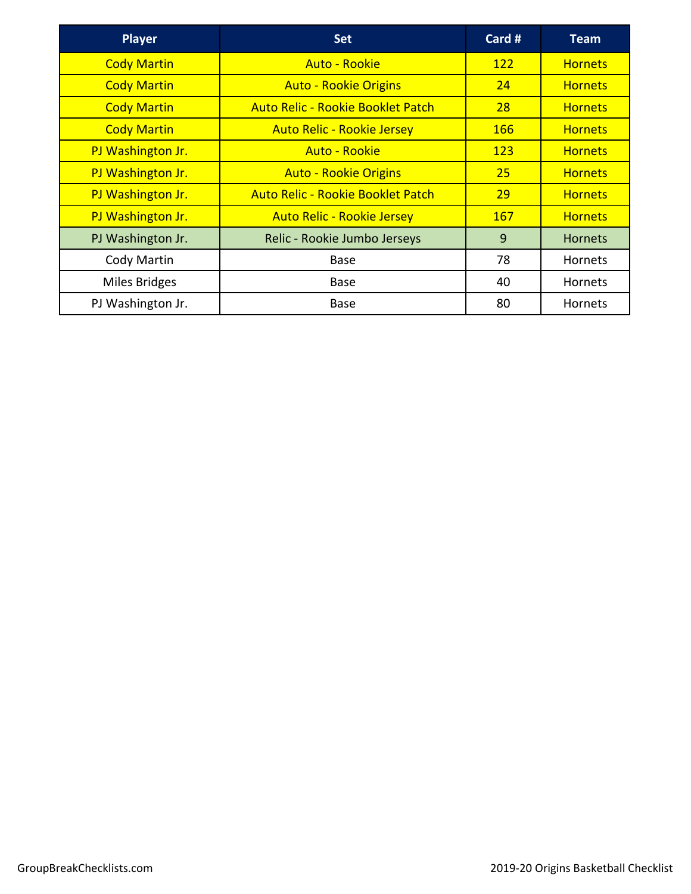| <b>Player</b>      | <b>Set</b>                               | Card #     | <b>Team</b>    |
|--------------------|------------------------------------------|------------|----------------|
| <b>Cody Martin</b> | <b>Auto - Rookie</b>                     | <b>122</b> | <b>Hornets</b> |
| <b>Cody Martin</b> | <b>Auto - Rookie Origins</b>             | 24         | <b>Hornets</b> |
| <b>Cody Martin</b> | <b>Auto Relic - Rookie Booklet Patch</b> | 28         | <b>Hornets</b> |
| <b>Cody Martin</b> | <b>Auto Relic - Rookie Jersey</b>        | 166        | <b>Hornets</b> |
| PJ Washington Jr.  | <b>Auto - Rookie</b>                     | 123        | <b>Hornets</b> |
| PJ Washington Jr.  | <b>Auto - Rookie Origins</b>             | 25         | <b>Hornets</b> |
| PJ Washington Jr.  | <b>Auto Relic - Rookie Booklet Patch</b> | 29         | <b>Hornets</b> |
| PJ Washington Jr.  | <b>Auto Relic - Rookie Jersey</b>        | <b>167</b> | <b>Hornets</b> |
| PJ Washington Jr.  | Relic - Rookie Jumbo Jerseys             | 9          | <b>Hornets</b> |
| Cody Martin        | <b>Base</b>                              | 78         | Hornets        |
| Miles Bridges      | <b>Base</b>                              | 40         | Hornets        |
| PJ Washington Jr.  | Base                                     | 80         | Hornets        |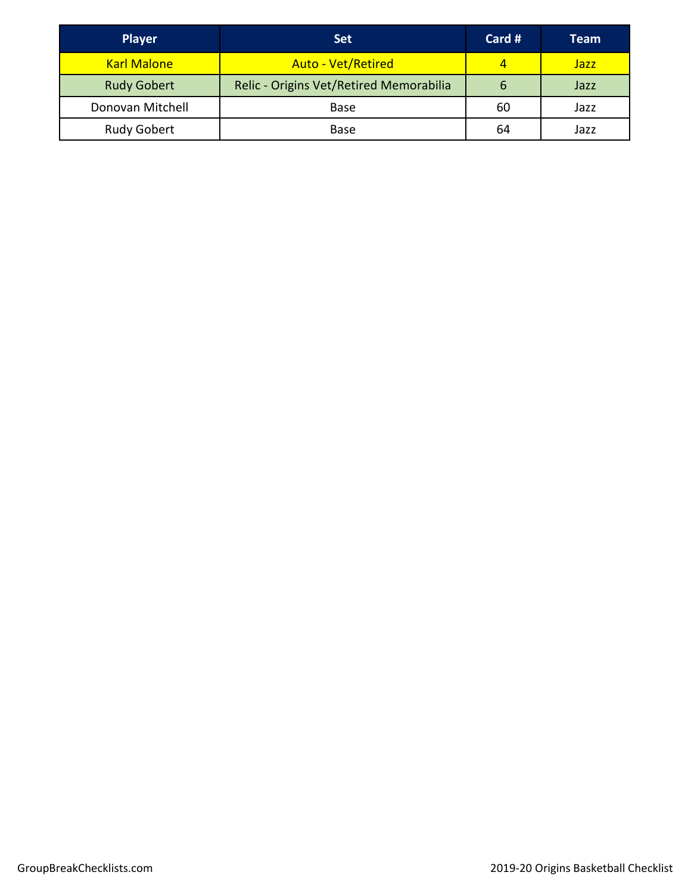| <b>Player</b>      | <b>Set</b>                              | Card # | <b>Team</b> |
|--------------------|-----------------------------------------|--------|-------------|
| <b>Karl Malone</b> | <b>Auto - Vet/Retired</b>               | 4      | Jazz        |
| <b>Rudy Gobert</b> | Relic - Origins Vet/Retired Memorabilia | 6      | Jazz        |
| Donovan Mitchell   | Base                                    | 60     | Jazz        |
| Rudy Gobert        | Base                                    | 64     | Jazz        |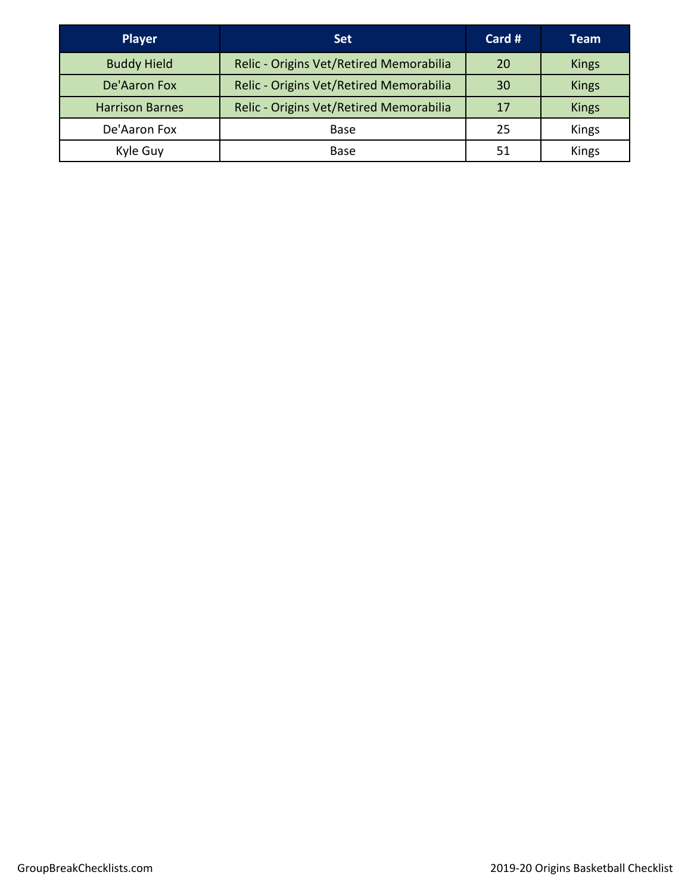| <b>Player</b>          | <b>Set</b>                              | Card # | <b>Team</b>  |
|------------------------|-----------------------------------------|--------|--------------|
| <b>Buddy Hield</b>     | Relic - Origins Vet/Retired Memorabilia | 20     | <b>Kings</b> |
| De'Aaron Fox           | Relic - Origins Vet/Retired Memorabilia | 30     | <b>Kings</b> |
| <b>Harrison Barnes</b> | Relic - Origins Vet/Retired Memorabilia | 17     | <b>Kings</b> |
| De'Aaron Fox           | Base                                    | 25     | Kings        |
| Kyle Guy               | Base                                    | 51     | Kings        |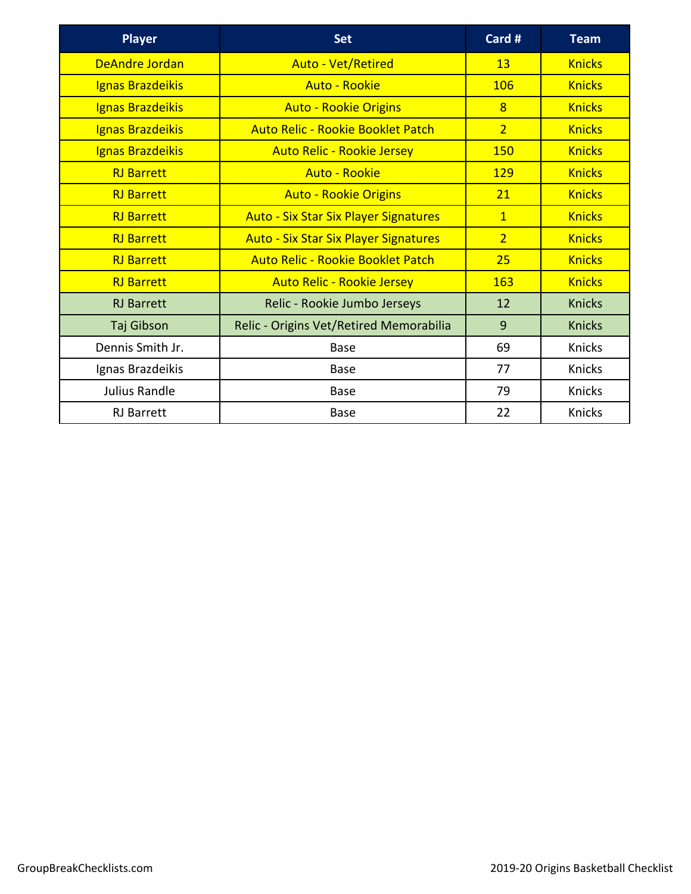| <b>Player</b>         | <b>Set</b>                                   | Card #         | <b>Team</b>   |
|-----------------------|----------------------------------------------|----------------|---------------|
| <b>DeAndre Jordan</b> | <b>Auto - Vet/Retired</b>                    | 13             | <b>Knicks</b> |
| Ignas Brazdeikis      | <b>Auto - Rookie</b>                         | 106            | <b>Knicks</b> |
| Ignas Brazdeikis      | <b>Auto - Rookie Origins</b>                 | 8              | <b>Knicks</b> |
| Ignas Brazdeikis      | <b>Auto Relic - Rookie Booklet Patch</b>     | $\overline{2}$ | <b>Knicks</b> |
| Ignas Brazdeikis      | <b>Auto Relic - Rookie Jersey</b>            | 150            | <b>Knicks</b> |
| <b>RJ</b> Barrett     | Auto - Rookie                                | 129            | <b>Knicks</b> |
| <b>RI Barrett</b>     | <b>Auto - Rookie Origins</b>                 | 21             | <b>Knicks</b> |
| <b>RI Barrett</b>     | <b>Auto - Six Star Six Player Signatures</b> | $\overline{1}$ | <b>Knicks</b> |
| <b>RJ Barrett</b>     | <b>Auto - Six Star Six Player Signatures</b> | $\overline{2}$ | <b>Knicks</b> |
| <b>RJ Barrett</b>     | <b>Auto Relic - Rookie Booklet Patch</b>     | 25             | <b>Knicks</b> |
| <b>RJ Barrett</b>     | <b>Auto Relic - Rookie Jersey</b>            | 163            | <b>Knicks</b> |
| <b>RJ</b> Barrett     | Relic - Rookie Jumbo Jerseys                 | 12             | <b>Knicks</b> |
| Taj Gibson            | Relic - Origins Vet/Retired Memorabilia      | 9              | <b>Knicks</b> |
| Dennis Smith Jr.      | <b>Base</b>                                  | 69             | Knicks        |
| Ignas Brazdeikis      | Base                                         | 77             | Knicks        |
| Julius Randle         | Base                                         | 79             | Knicks        |
| <b>RJ</b> Barrett     | <b>Base</b>                                  | 22             | <b>Knicks</b> |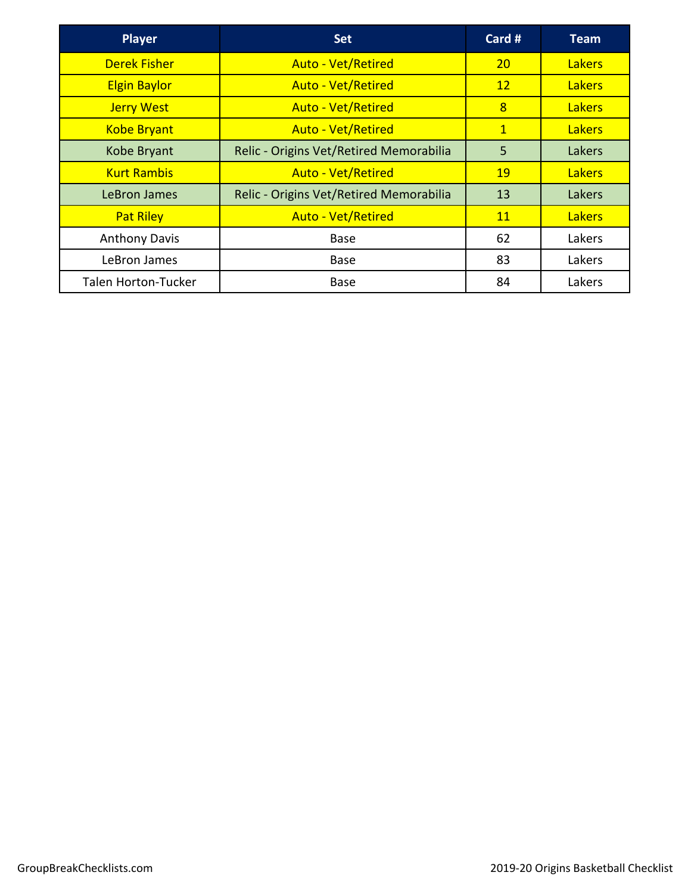| <b>Player</b>        | <b>Set</b>                              | Card #          | <b>Team</b>   |
|----------------------|-----------------------------------------|-----------------|---------------|
| <b>Derek Fisher</b>  | <b>Auto - Vet/Retired</b>               | 20 <sup>°</sup> | Lakers        |
| <b>Elgin Baylor</b>  | <b>Auto - Vet/Retired</b>               | 12 <sup>2</sup> | <b>Lakers</b> |
| <b>Jerry West</b>    | <b>Auto - Vet/Retired</b>               | 8               | Lakers        |
| <b>Kobe Bryant</b>   | <b>Auto - Vet/Retired</b>               | $\mathbf{1}$    | <b>Lakers</b> |
| Kobe Bryant          | Relic - Origins Vet/Retired Memorabilia | 5               | Lakers        |
| <b>Kurt Rambis</b>   | <b>Auto - Vet/Retired</b>               | <b>19</b>       | Lakers        |
| LeBron James         | Relic - Origins Vet/Retired Memorabilia | 13              | Lakers        |
| <b>Pat Riley</b>     | <b>Auto - Vet/Retired</b>               | 11              | <b>Lakers</b> |
| <b>Anthony Davis</b> | <b>Base</b>                             | 62              | Lakers        |
| LeBron James         | <b>Base</b>                             | 83              | Lakers        |
| Talen Horton-Tucker  | Base                                    | 84              | Lakers        |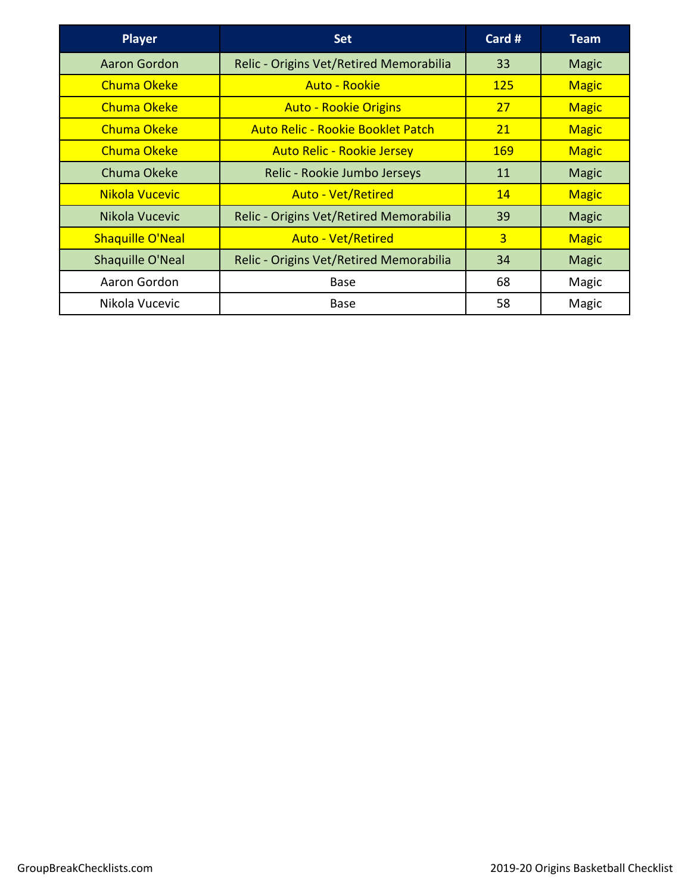| <b>Player</b>           | <b>Set</b>                               | Card #         | <b>Team</b>  |
|-------------------------|------------------------------------------|----------------|--------------|
| Aaron Gordon            | Relic - Origins Vet/Retired Memorabilia  | 33             | <b>Magic</b> |
| Chuma Okeke             | Auto - Rookie                            | <b>125</b>     | <b>Magic</b> |
| <b>Chuma Okeke</b>      | <b>Auto - Rookie Origins</b>             | 27             | <b>Magic</b> |
| <b>Chuma Okeke</b>      | <b>Auto Relic - Rookie Booklet Patch</b> | 21             | <b>Magic</b> |
| <b>Chuma Okeke</b>      | <b>Auto Relic - Rookie Jersey</b>        | <b>169</b>     | <b>Magic</b> |
| Chuma Okeke             | Relic - Rookie Jumbo Jerseys             | 11             | <b>Magic</b> |
| Nikola Vucevic          | <b>Auto - Vet/Retired</b>                | 14             | <b>Magic</b> |
| Nikola Vucevic          | Relic - Origins Vet/Retired Memorabilia  | 39             | <b>Magic</b> |
| <b>Shaquille O'Neal</b> | <b>Auto - Vet/Retired</b>                | $\overline{3}$ | <b>Magic</b> |
| Shaquille O'Neal        | Relic - Origins Vet/Retired Memorabilia  | 34             | <b>Magic</b> |
| Aaron Gordon            | <b>Base</b>                              | 68             | Magic        |
| Nikola Vucevic          | <b>Base</b>                              | 58             | Magic        |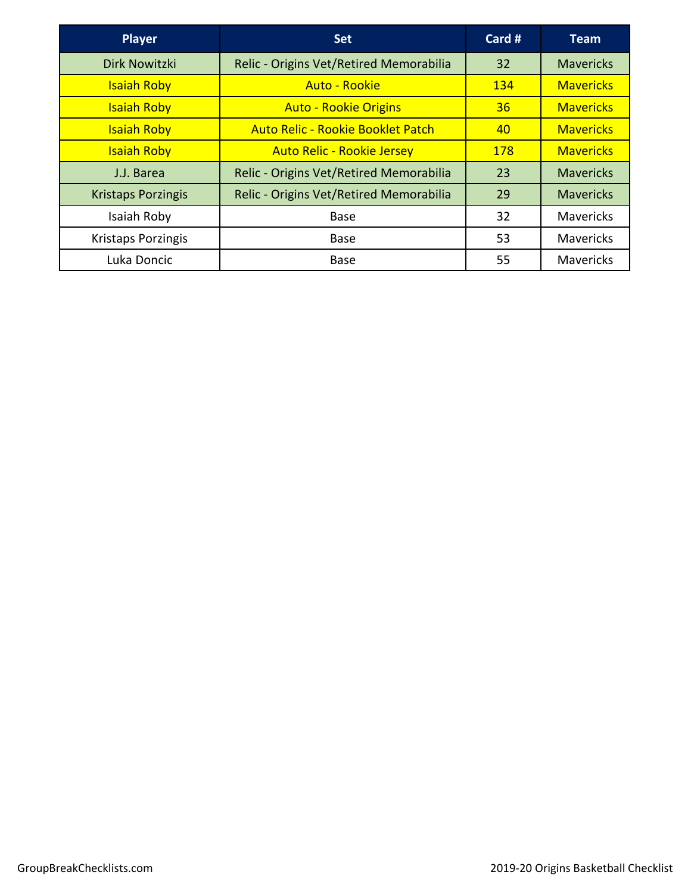| <b>Player</b>             | <b>Set</b>                               | Card #     | <b>Team</b>      |
|---------------------------|------------------------------------------|------------|------------------|
| Dirk Nowitzki             | Relic - Origins Vet/Retired Memorabilia  | 32         | <b>Mavericks</b> |
| <b>Isaiah Roby</b>        | <b>Auto - Rookie</b>                     | 134        | <b>Mavericks</b> |
| <b>Isaiah Roby</b>        | <b>Auto - Rookie Origins</b>             | 36         | <b>Mavericks</b> |
| <b>Isaiah Roby</b>        | <b>Auto Relic - Rookie Booklet Patch</b> | 40         | <b>Mavericks</b> |
| <b>Isaiah Roby</b>        | <b>Auto Relic - Rookie Jersey</b>        | <b>178</b> | <b>Mavericks</b> |
| J.J. Barea                | Relic - Origins Vet/Retired Memorabilia  | 23         | <b>Mavericks</b> |
| <b>Kristaps Porzingis</b> | Relic - Origins Vet/Retired Memorabilia  | 29         | <b>Mavericks</b> |
| Isaiah Roby               | <b>Base</b>                              | 32         | <b>Mavericks</b> |
| Kristaps Porzingis        | Base                                     | 53         | <b>Mavericks</b> |
| Luka Doncic               | Base                                     | 55         | Mavericks        |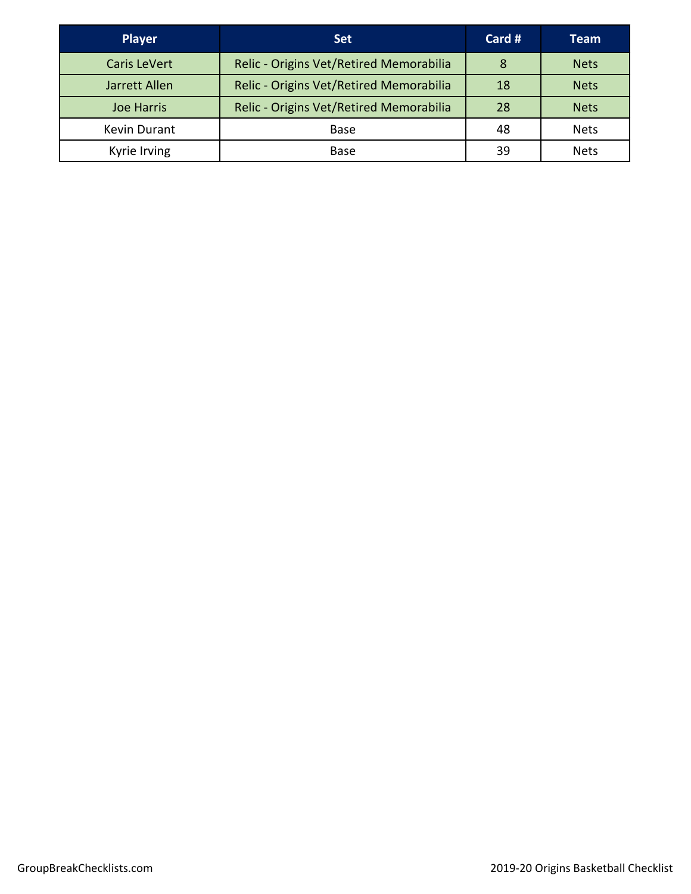| <b>Player</b>       | <b>Set</b>                              | Card # | <b>Team</b> |
|---------------------|-----------------------------------------|--------|-------------|
| <b>Caris LeVert</b> | Relic - Origins Vet/Retired Memorabilia | 8      | <b>Nets</b> |
| Jarrett Allen       | Relic - Origins Vet/Retired Memorabilia | 18     | <b>Nets</b> |
| <b>Joe Harris</b>   | Relic - Origins Vet/Retired Memorabilia | 28     | <b>Nets</b> |
| Kevin Durant        | Base                                    | 48     | <b>Nets</b> |
| Kyrie Irving        | Base                                    | 39     | <b>Nets</b> |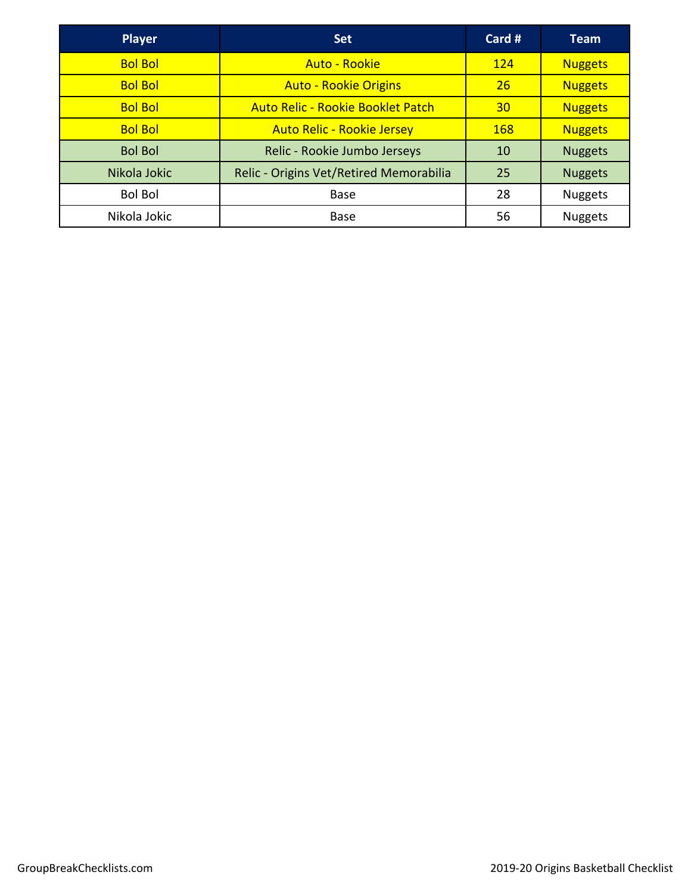| <b>Player</b>  | <b>Set</b>                               | Card # | <b>Team</b>    |
|----------------|------------------------------------------|--------|----------------|
| <b>Bol Bol</b> | <b>Auto - Rookie</b>                     | 124    | <b>Nuggets</b> |
| <b>Bol Bol</b> | <b>Auto - Rookie Origins</b>             | 26     | <b>Nuggets</b> |
| <b>Bol Bol</b> | <b>Auto Relic - Rookie Booklet Patch</b> | 30     | <b>Nuggets</b> |
| <b>Bol Bol</b> | <b>Auto Relic - Rookie Jersey</b>        | 168    | <b>Nuggets</b> |
| <b>Bol Bol</b> | Relic - Rookie Jumbo Jerseys             | 10     | <b>Nuggets</b> |
| Nikola Jokic   | Relic - Origins Vet/Retired Memorabilia  | 25     | <b>Nuggets</b> |
| <b>Bol Bol</b> | <b>Base</b>                              | 28     | <b>Nuggets</b> |
| Nikola Jokic   | <b>Base</b>                              | 56     | <b>Nuggets</b> |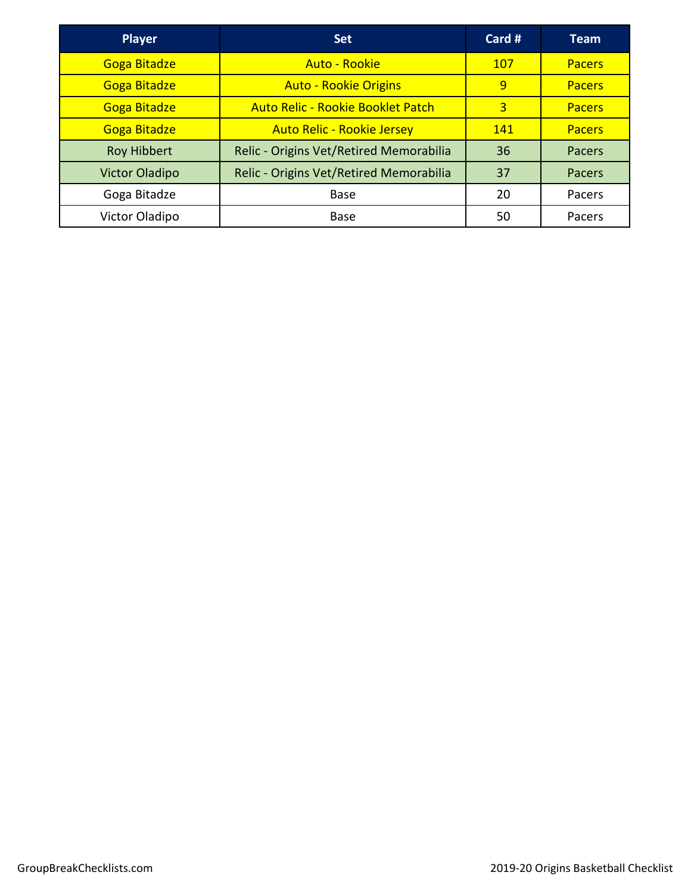| <b>Player</b>         | <b>Set</b>                               | Card #     | <b>Team</b>   |
|-----------------------|------------------------------------------|------------|---------------|
| <b>Goga Bitadze</b>   | Auto - Rookie                            | <b>107</b> | <b>Pacers</b> |
| <b>Goga Bitadze</b>   | <b>Auto - Rookie Origins</b>             | 9          | <b>Pacers</b> |
| <b>Goga Bitadze</b>   | <b>Auto Relic - Rookie Booklet Patch</b> | 3          | <b>Pacers</b> |
| <b>Goga Bitadze</b>   | <b>Auto Relic - Rookie Jersey</b>        | 141        | <b>Pacers</b> |
| <b>Roy Hibbert</b>    | Relic - Origins Vet/Retired Memorabilia  | 36         | Pacers        |
| <b>Victor Oladipo</b> | Relic - Origins Vet/Retired Memorabilia  | 37         | Pacers        |
| Goga Bitadze          | <b>Base</b>                              | 20         | Pacers        |
| Victor Oladipo        | Base                                     | 50         | Pacers        |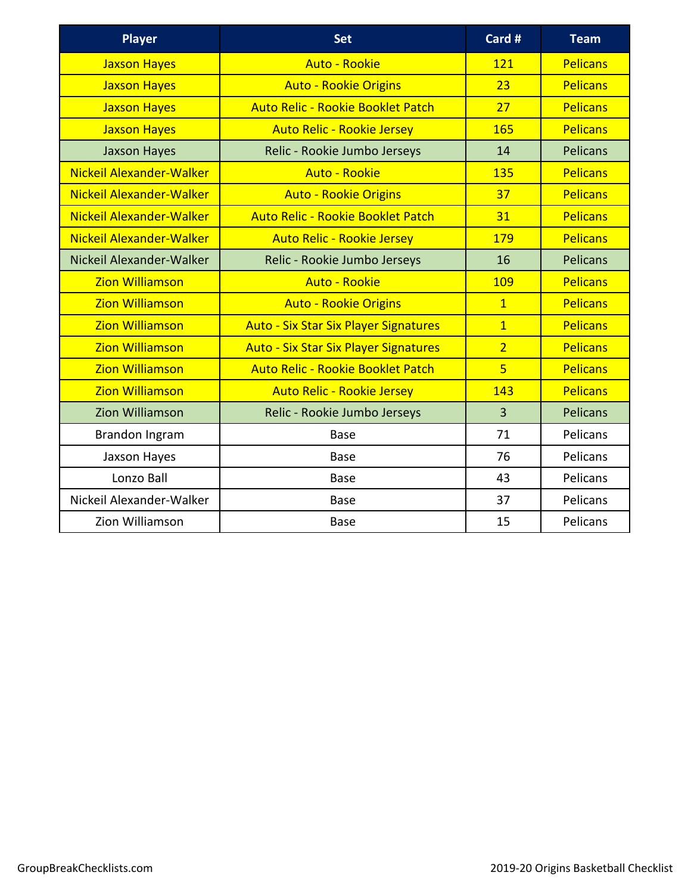| <b>Player</b>            | <b>Set</b>                                   | Card #         | <b>Team</b>     |
|--------------------------|----------------------------------------------|----------------|-----------------|
| <b>Jaxson Hayes</b>      | <b>Auto - Rookie</b>                         | 121            | <b>Pelicans</b> |
| <b>Jaxson Hayes</b>      | <b>Auto - Rookie Origins</b>                 | 23             | <b>Pelicans</b> |
| <b>Jaxson Hayes</b>      | <b>Auto Relic - Rookie Booklet Patch</b>     | 27             | <b>Pelicans</b> |
| <b>Jaxson Hayes</b>      | <b>Auto Relic - Rookie Jersey</b>            | 165            | <b>Pelicans</b> |
| <b>Jaxson Hayes</b>      | Relic - Rookie Jumbo Jerseys                 | 14             | <b>Pelicans</b> |
| Nickeil Alexander-Walker | <b>Auto - Rookie</b>                         | 135            | <b>Pelicans</b> |
| Nickeil Alexander-Walker | <b>Auto - Rookie Origins</b>                 | 37             | <b>Pelicans</b> |
| Nickeil Alexander-Walker | <b>Auto Relic - Rookie Booklet Patch</b>     | 31             | <b>Pelicans</b> |
| Nickeil Alexander-Walker | <b>Auto Relic - Rookie Jersey</b>            | 179            | <b>Pelicans</b> |
| Nickeil Alexander-Walker | Relic - Rookie Jumbo Jerseys                 | 16             | <b>Pelicans</b> |
| <b>Zion Williamson</b>   | <b>Auto - Rookie</b>                         | 109            | <b>Pelicans</b> |
| <b>Zion Williamson</b>   | <b>Auto - Rookie Origins</b>                 | $\overline{1}$ | <b>Pelicans</b> |
| <b>Zion Williamson</b>   | <b>Auto - Six Star Six Player Signatures</b> | $\overline{1}$ | <b>Pelicans</b> |
| <b>Zion Williamson</b>   | <b>Auto - Six Star Six Player Signatures</b> | $\overline{2}$ | <b>Pelicans</b> |
| <b>Zion Williamson</b>   | <b>Auto Relic - Rookie Booklet Patch</b>     | $\overline{5}$ | <b>Pelicans</b> |
| <b>Zion Williamson</b>   | <b>Auto Relic - Rookie Jersey</b>            | 143            | <b>Pelicans</b> |
| <b>Zion Williamson</b>   | Relic - Rookie Jumbo Jerseys                 | 3              | <b>Pelicans</b> |
| Brandon Ingram           | <b>Base</b>                                  | 71             | Pelicans        |
| Jaxson Hayes             | <b>Base</b>                                  | 76             | Pelicans        |
| Lonzo Ball               | <b>Base</b>                                  | 43             | Pelicans        |
| Nickeil Alexander-Walker | <b>Base</b>                                  | 37             | Pelicans        |
| Zion Williamson          | <b>Base</b>                                  | 15             | Pelicans        |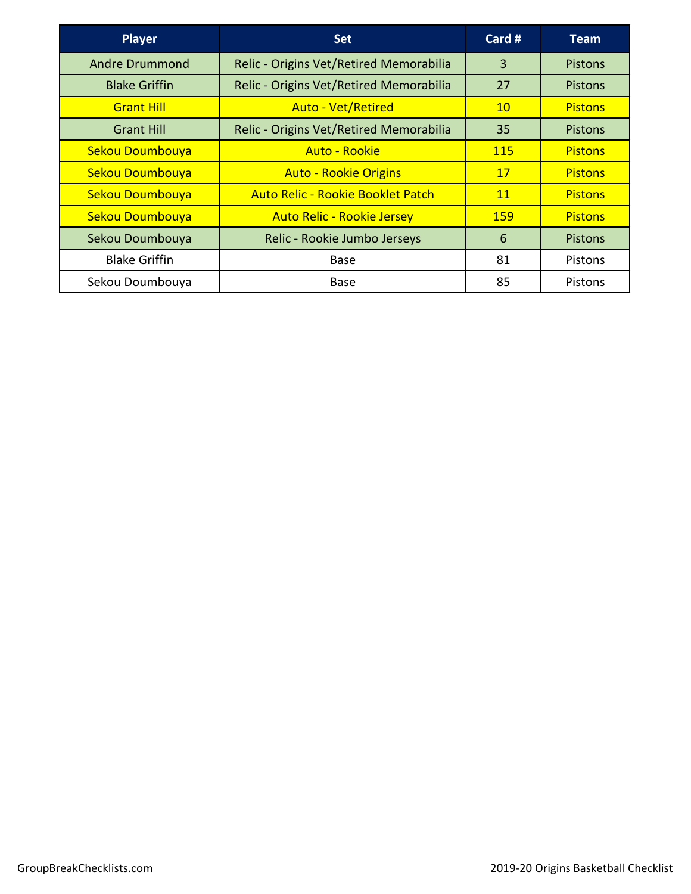| <b>Player</b>         | <b>Set</b>                               | Card #          | <b>Team</b>    |
|-----------------------|------------------------------------------|-----------------|----------------|
| <b>Andre Drummond</b> | Relic - Origins Vet/Retired Memorabilia  | 3               | <b>Pistons</b> |
| <b>Blake Griffin</b>  | Relic - Origins Vet/Retired Memorabilia  | 27              | <b>Pistons</b> |
| <b>Grant Hill</b>     | <b>Auto - Vet/Retired</b>                | 10              | <b>Pistons</b> |
| <b>Grant Hill</b>     | Relic - Origins Vet/Retired Memorabilia  | 35              | <b>Pistons</b> |
| Sekou Doumbouya       | Auto - Rookie                            | <b>115</b>      | <b>Pistons</b> |
| Sekou Doumbouya       | <b>Auto - Rookie Origins</b>             | <b>17</b>       | <b>Pistons</b> |
| Sekou Doumbouya       | <b>Auto Relic - Rookie Booklet Patch</b> | 11              | <b>Pistons</b> |
| Sekou Doumbouya       | <b>Auto Relic - Rookie Jersey</b>        | <b>159</b>      | <b>Pistons</b> |
| Sekou Doumbouya       | Relic - Rookie Jumbo Jerseys             | $6\phantom{1}6$ | <b>Pistons</b> |
| <b>Blake Griffin</b>  | <b>Base</b>                              | 81              | Pistons        |
| Sekou Doumbouya       | Base                                     | 85              | Pistons        |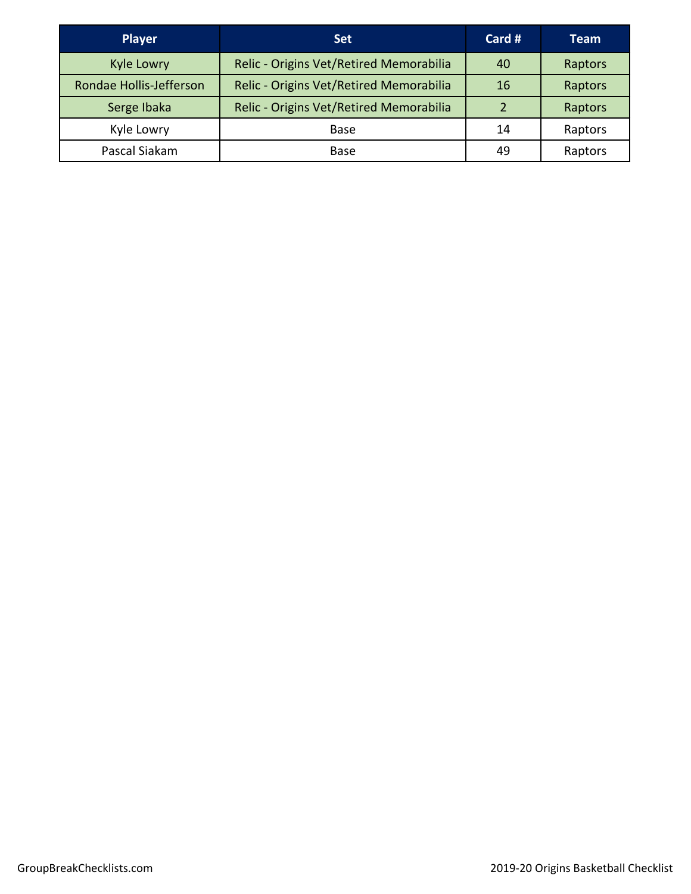| <b>Player</b>           | <b>Set</b>                              | Card # | <b>Team</b> |
|-------------------------|-----------------------------------------|--------|-------------|
| <b>Kyle Lowry</b>       | Relic - Origins Vet/Retired Memorabilia | 40     | Raptors     |
| Rondae Hollis-Jefferson | Relic - Origins Vet/Retired Memorabilia | 16     | Raptors     |
| Serge Ibaka             | Relic - Origins Vet/Retired Memorabilia |        | Raptors     |
| Kyle Lowry              | Base                                    | 14     | Raptors     |
| Pascal Siakam           | Base                                    | 49     | Raptors     |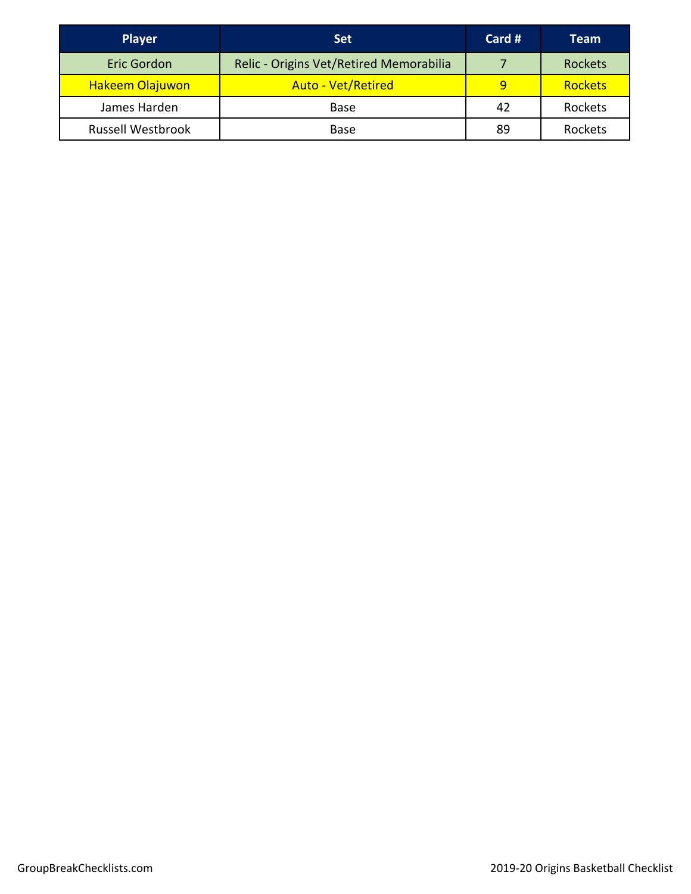| <b>Player</b>            | <b>Set</b>                              | Card # | <b>Team</b>    |
|--------------------------|-----------------------------------------|--------|----------------|
| <b>Eric Gordon</b>       | Relic - Origins Vet/Retired Memorabilia |        | Rockets        |
| <b>Hakeem Olajuwon</b>   | <b>Auto - Vet/Retired</b>               | q      | <b>Rockets</b> |
| James Harden             | Base                                    | 42     | Rockets        |
| <b>Russell Westbrook</b> | Base                                    | 89     | Rockets        |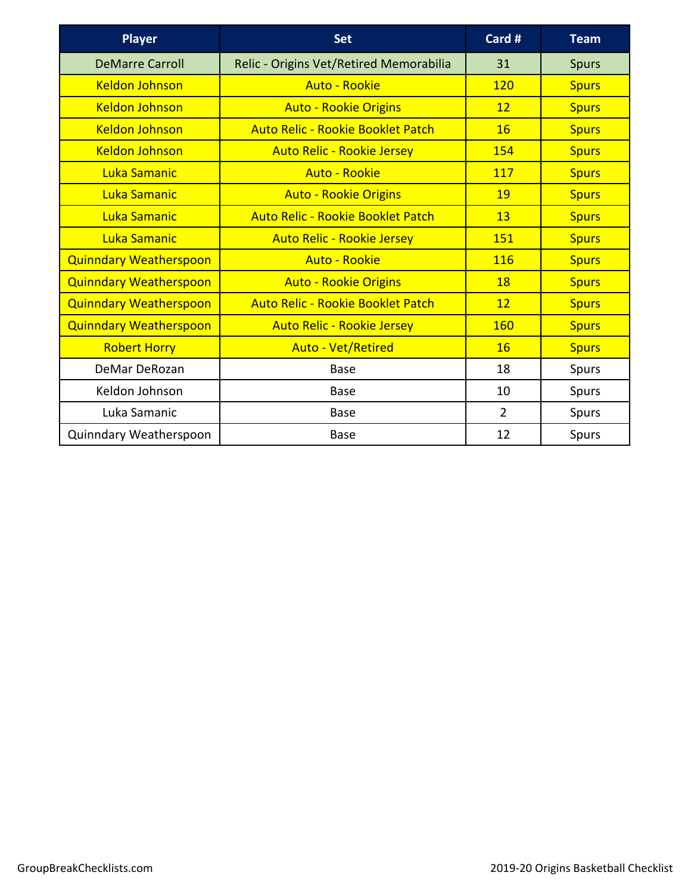| <b>Player</b>                 | <b>Set</b>                               | Card #         | <b>Team</b>  |
|-------------------------------|------------------------------------------|----------------|--------------|
| <b>DeMarre Carroll</b>        | Relic - Origins Vet/Retired Memorabilia  | 31             | <b>Spurs</b> |
| <b>Keldon Johnson</b>         | <b>Auto - Rookie</b>                     | <b>120</b>     | <b>Spurs</b> |
| <b>Keldon Johnson</b>         | <b>Auto - Rookie Origins</b>             | 12             | <b>Spurs</b> |
| <b>Keldon Johnson</b>         | <b>Auto Relic - Rookie Booklet Patch</b> | 16             | <b>Spurs</b> |
| <b>Keldon Johnson</b>         | <b>Auto Relic - Rookie Jersey</b>        | 154            | <b>Spurs</b> |
| Luka Samanic                  | <b>Auto - Rookie</b>                     | 117            | <b>Spurs</b> |
| Luka Samanic                  | <b>Auto - Rookie Origins</b>             | 19             | <b>Spurs</b> |
| Luka Samanic                  | <b>Auto Relic - Rookie Booklet Patch</b> | 13             | <b>Spurs</b> |
| Luka Samanic                  | <b>Auto Relic - Rookie Jersey</b>        | 151            | <b>Spurs</b> |
| <b>Quinndary Weatherspoon</b> | <b>Auto - Rookie</b>                     | 116            | <b>Spurs</b> |
| <b>Quinndary Weatherspoon</b> | <b>Auto - Rookie Origins</b>             | 18             | <b>Spurs</b> |
| <b>Quinndary Weatherspoon</b> | <b>Auto Relic - Rookie Booklet Patch</b> | 12             | <b>Spurs</b> |
| <b>Quinndary Weatherspoon</b> | <b>Auto Relic - Rookie Jersey</b>        | 160            | <b>Spurs</b> |
| <b>Robert Horry</b>           | <b>Auto - Vet/Retired</b>                | 16             | <b>Spurs</b> |
| DeMar DeRozan                 | Base                                     | 18             | Spurs        |
| Keldon Johnson                | Base                                     | 10             | Spurs        |
| Luka Samanic                  | <b>Base</b>                              | $\overline{2}$ | Spurs        |
| Quinndary Weatherspoon        | <b>Base</b>                              | 12             | Spurs        |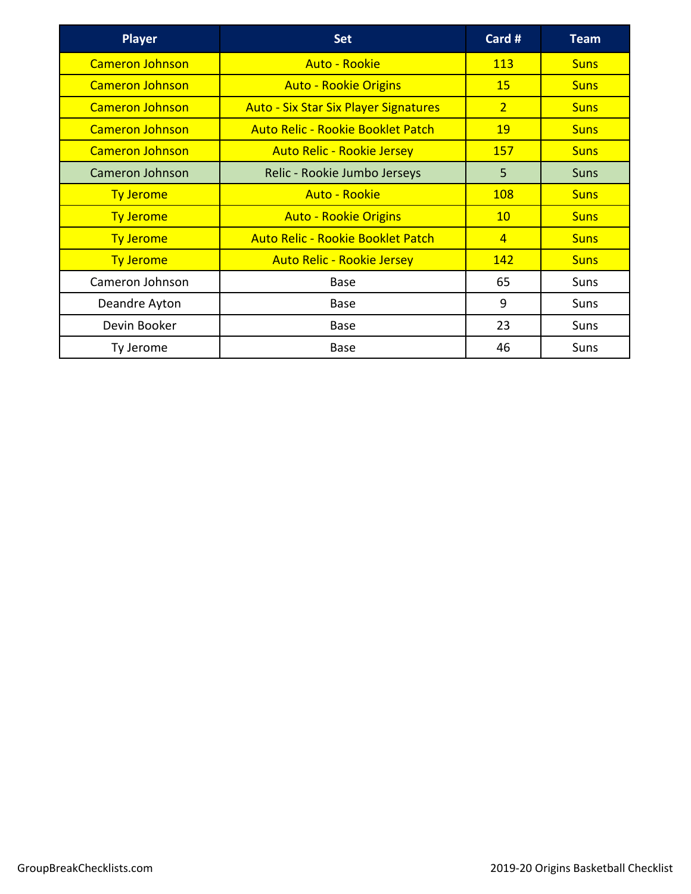| <b>Player</b>          | <b>Set</b>                                   | Card #         | <b>Team</b> |
|------------------------|----------------------------------------------|----------------|-------------|
| <b>Cameron Johnson</b> | <b>Auto - Rookie</b>                         | <b>113</b>     | <b>Suns</b> |
| <b>Cameron Johnson</b> | <b>Auto - Rookie Origins</b>                 | <b>15</b>      | <b>Suns</b> |
| <b>Cameron Johnson</b> | <b>Auto - Six Star Six Player Signatures</b> | $\overline{2}$ | <b>Suns</b> |
| <b>Cameron Johnson</b> | <b>Auto Relic - Rookie Booklet Patch</b>     | 19             | <b>Suns</b> |
| <b>Cameron Johnson</b> | <b>Auto Relic - Rookie Jersey</b>            | <b>157</b>     | <b>Suns</b> |
| Cameron Johnson        | Relic - Rookie Jumbo Jerseys                 | 5              | <b>Suns</b> |
| <b>Ty Jerome</b>       | <b>Auto - Rookie</b>                         | 108            | <b>Suns</b> |
| <b>Ty Jerome</b>       | <b>Auto - Rookie Origins</b>                 | 10             | <b>Suns</b> |
| <b>Ty Jerome</b>       | <b>Auto Relic - Rookie Booklet Patch</b>     | $\overline{4}$ | <b>Suns</b> |
| <b>Ty Jerome</b>       | <b>Auto Relic - Rookie Jersey</b>            | 142            | <b>Suns</b> |
| Cameron Johnson        | <b>Base</b>                                  | 65             | Suns        |
| Deandre Ayton          | <b>Base</b>                                  | 9              | Suns        |
| Devin Booker           | <b>Base</b>                                  | 23             | Suns        |
| Ty Jerome              | <b>Base</b>                                  | 46             | Suns        |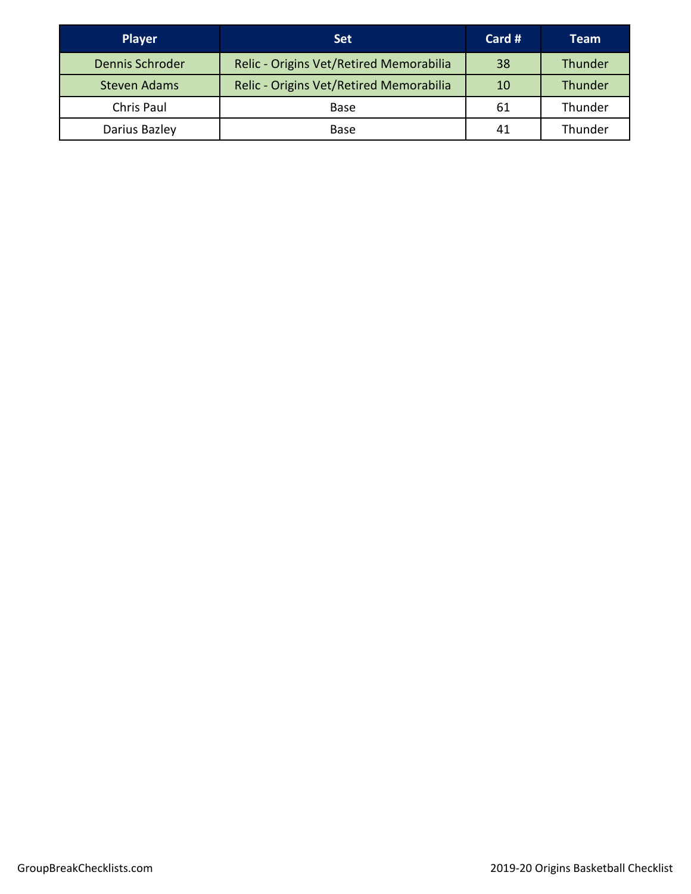| <b>Player</b>       | <b>Set</b>                              | Card # | <b>Team</b> |
|---------------------|-----------------------------------------|--------|-------------|
| Dennis Schroder     | Relic - Origins Vet/Retired Memorabilia | 38     | Thunder     |
| <b>Steven Adams</b> | Relic - Origins Vet/Retired Memorabilia | 10     | Thunder     |
| Chris Paul          | Base                                    | 61     | Thunder     |
| Darius Bazley       | Base                                    | 41     | Thunder     |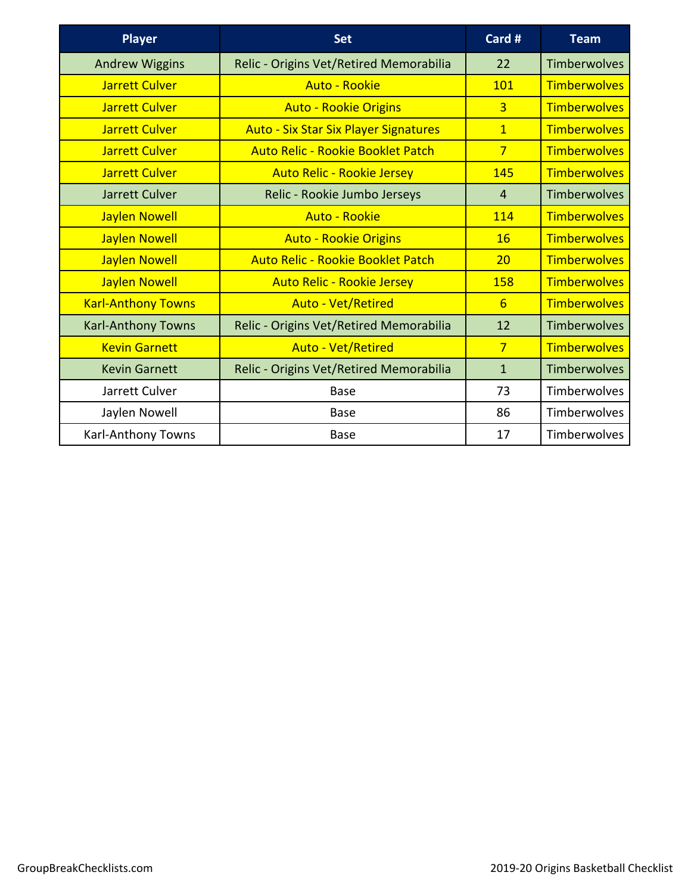| <b>Player</b>             | <b>Set</b>                                   | Card #          | <b>Team</b>         |
|---------------------------|----------------------------------------------|-----------------|---------------------|
| <b>Andrew Wiggins</b>     | Relic - Origins Vet/Retired Memorabilia      | 22              | <b>Timberwolves</b> |
| Jarrett Culver            | <b>Auto - Rookie</b>                         | 101             | <b>Timberwolves</b> |
| Jarrett Culver            | <b>Auto - Rookie Origins</b>                 | $\overline{3}$  | <b>Timberwolves</b> |
| <b>Jarrett Culver</b>     | <b>Auto - Six Star Six Player Signatures</b> | $\overline{1}$  | <b>Timberwolves</b> |
| <b>Jarrett Culver</b>     | <b>Auto Relic - Rookie Booklet Patch</b>     | $\overline{7}$  | <b>Timberwolves</b> |
| <b>Jarrett Culver</b>     | <b>Auto Relic - Rookie Jersey</b>            | 145             | <b>Timberwolves</b> |
| <b>Jarrett Culver</b>     | Relic - Rookie Jumbo Jerseys                 | $\overline{4}$  | <b>Timberwolves</b> |
| <b>Jaylen Nowell</b>      | <b>Auto - Rookie</b>                         | 114             | <b>Timberwolves</b> |
| <b>Jaylen Nowell</b>      | <b>Auto - Rookie Origins</b>                 | 16              | <b>Timberwolves</b> |
| <b>Jaylen Nowell</b>      | <b>Auto Relic - Rookie Booklet Patch</b>     | 20              | <b>Timberwolves</b> |
| <b>Jaylen Nowell</b>      | <b>Auto Relic - Rookie Jersey</b>            | 158             | <b>Timberwolves</b> |
| <b>Karl-Anthony Towns</b> | <b>Auto - Vet/Retired</b>                    | $6\overline{6}$ | <b>Timberwolves</b> |
| <b>Karl-Anthony Towns</b> | Relic - Origins Vet/Retired Memorabilia      | 12              | Timberwolves        |
| <b>Kevin Garnett</b>      | <b>Auto - Vet/Retired</b>                    | $\overline{7}$  | <b>Timberwolves</b> |
| <b>Kevin Garnett</b>      | Relic - Origins Vet/Retired Memorabilia      | 1               | <b>Timberwolves</b> |
| Jarrett Culver            | Base                                         | 73              | Timberwolves        |
| Jaylen Nowell             | <b>Base</b>                                  | 86              | Timberwolves        |
| Karl-Anthony Towns        | <b>Base</b>                                  | 17              | Timberwolves        |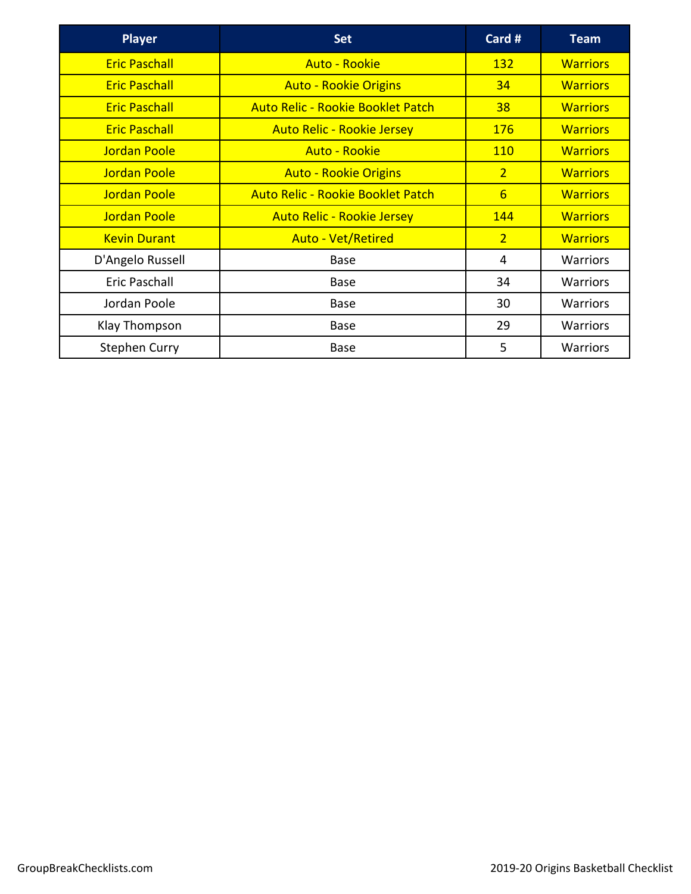| <b>Player</b>        | <b>Set</b>                               | Card #          | <b>Team</b>     |
|----------------------|------------------------------------------|-----------------|-----------------|
| <b>Eric Paschall</b> | <b>Auto - Rookie</b>                     | <b>132</b>      | <b>Warriors</b> |
| <b>Eric Paschall</b> | <b>Auto - Rookie Origins</b>             | 34              | <b>Warriors</b> |
| <b>Eric Paschall</b> | <b>Auto Relic - Rookie Booklet Patch</b> | 38              | <b>Warriors</b> |
| <b>Eric Paschall</b> | <b>Auto Relic - Rookie Jersey</b>        | <b>176</b>      | <b>Warriors</b> |
| Jordan Poole         | <b>Auto - Rookie</b>                     | <b>110</b>      | <b>Warriors</b> |
| Jordan Poole         | <b>Auto - Rookie Origins</b>             | $\overline{2}$  | <b>Warriors</b> |
| <b>Jordan Poole</b>  | <b>Auto Relic - Rookie Booklet Patch</b> | $6\overline{6}$ | <b>Warriors</b> |
| Jordan Poole         | <b>Auto Relic - Rookie Jersey</b>        | 144             | <b>Warriors</b> |
| <b>Kevin Durant</b>  | <b>Auto - Vet/Retired</b>                | $\overline{2}$  | <b>Warriors</b> |
| D'Angelo Russell     | <b>Base</b>                              | 4               | <b>Warriors</b> |
| <b>Eric Paschall</b> | Base                                     | 34              | <b>Warriors</b> |
| Jordan Poole         | <b>Base</b>                              | 30              | <b>Warriors</b> |
| Klay Thompson        | Base                                     | 29              | <b>Warriors</b> |
| <b>Stephen Curry</b> | <b>Base</b>                              | 5               | <b>Warriors</b> |